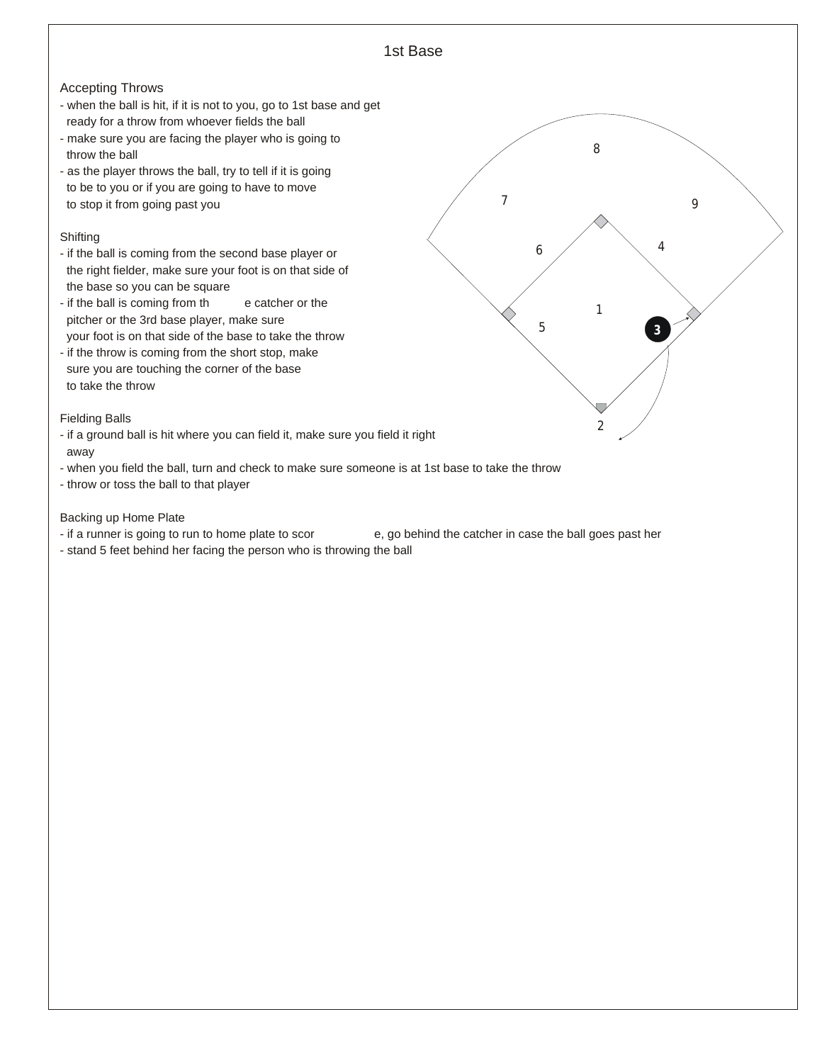

*Fielding Balls*

- *if a ground ball is hit where you can field it, make sure you field it right away*
- *when you field the ball, turn and check to make sure someone is at 1st base to take the throw*
- *throw or toss the ball to that player*

## *Backing up Home Plate*

*- if a runner is going to run to home plate to scor e, go behind the catcher in case the ball goes past her*

*2*

*9*

*3*

*- stand 5 feet behind her facing the person who is throwing the ball*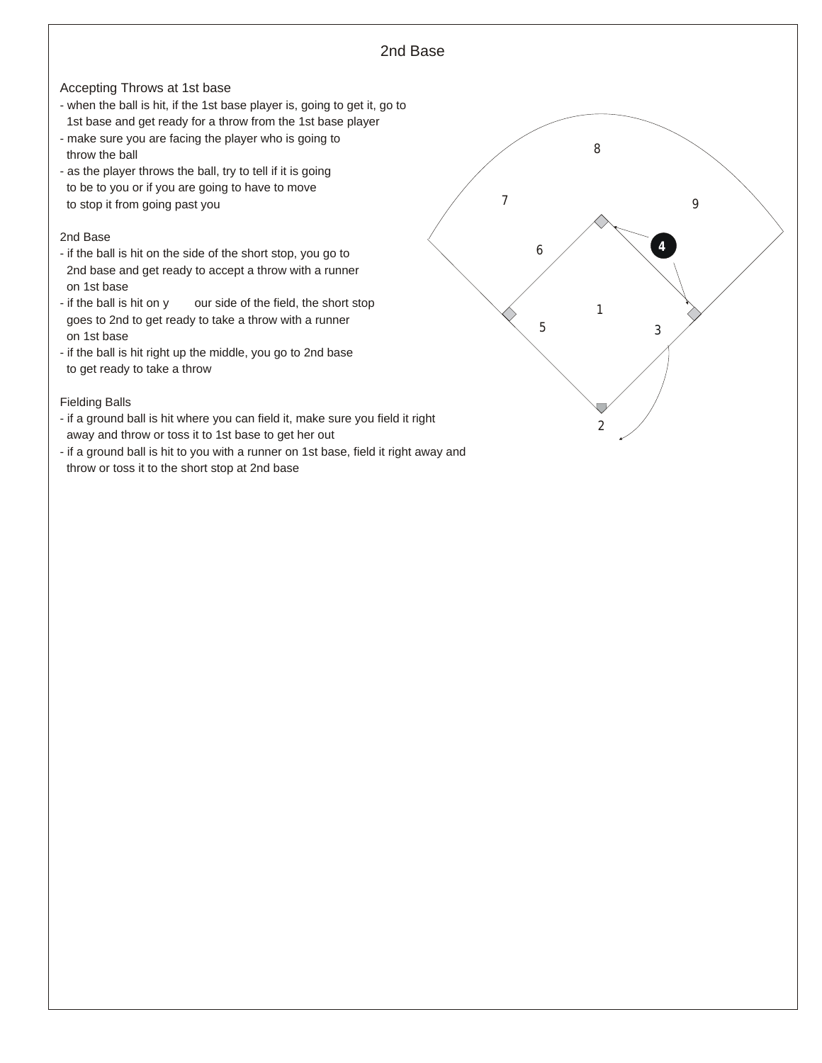

- when the ball is hit, if the 1st base player is, going to get it, go to  *1st base and get ready for a throw from the 1st base player*

*2nd Base*

- *make sure you are facing the player who is going to throw the ball*
- *as the player throws the ball, try to tell if it is going to be to you or if you are going to have to move to stop it from going past you*

## *2nd Base*

- *if the ball is hit on the side of the short stop, you go to 2nd base and get ready to accept a throw with a runner on 1st base*
- *if the ball is hit on y our side of the field, the short stop goes to 2nd to get ready to take a throw with a runner on 1st base*
- *if the ball is hit right up the middle, you go to 2nd base to get ready to take a throw*

## *Fielding Balls*

- *if a ground ball is hit where you can field it, make sure you field it right away and throw or toss it to 1st base to get her out*
- *if a ground ball is hit to you with a runner on 1st base, field it right away and throw or toss it to the short stop at 2nd base*

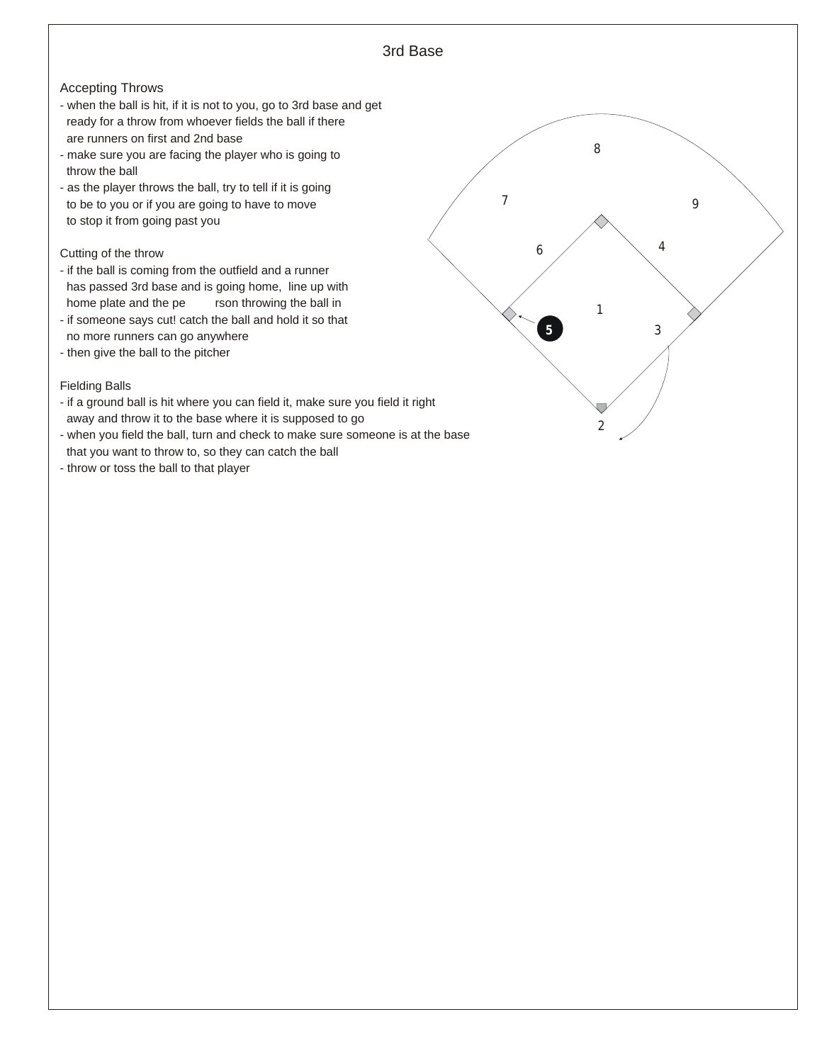

*- then give the ball to the pitcher*

*Fielding Balls*

- *if a ground ball is hit where you can field it, make sure you field it right away and throw it to the base where it is supposed to go*
- *when you field the ball, turn and check to make sure someone is at the base that you want to throw to, so they can catch the ball*
- *throw or toss the ball to that player*

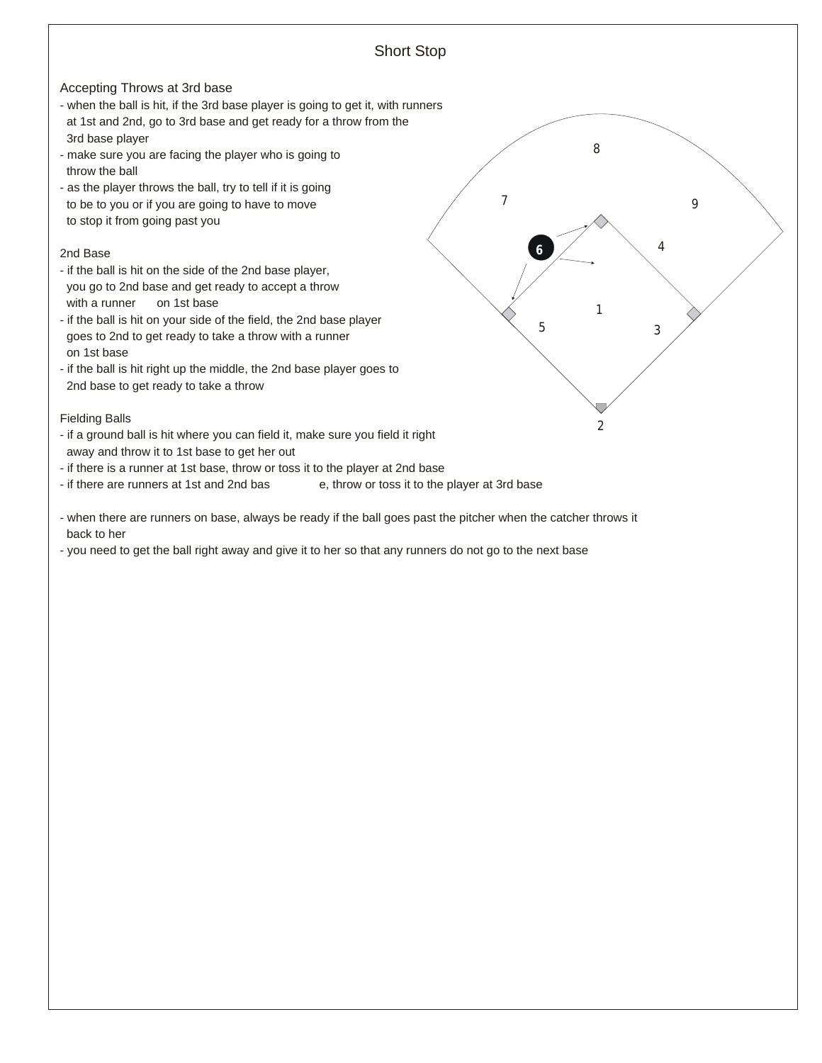

*- you need to get the ball right away and give it to her so that any runners do not go to the next base*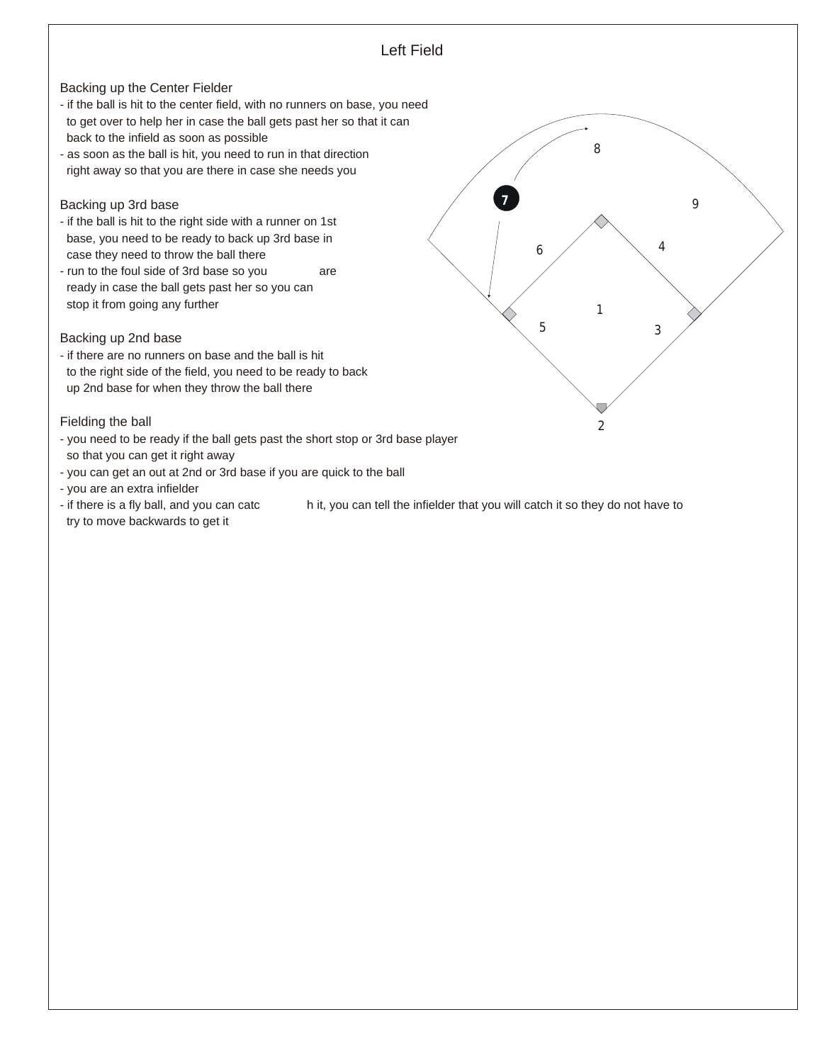

*- if there is a fly ball, and you can catc h it, you can tell the infielder that you will catch it so they do not have to try to move backwards to get it*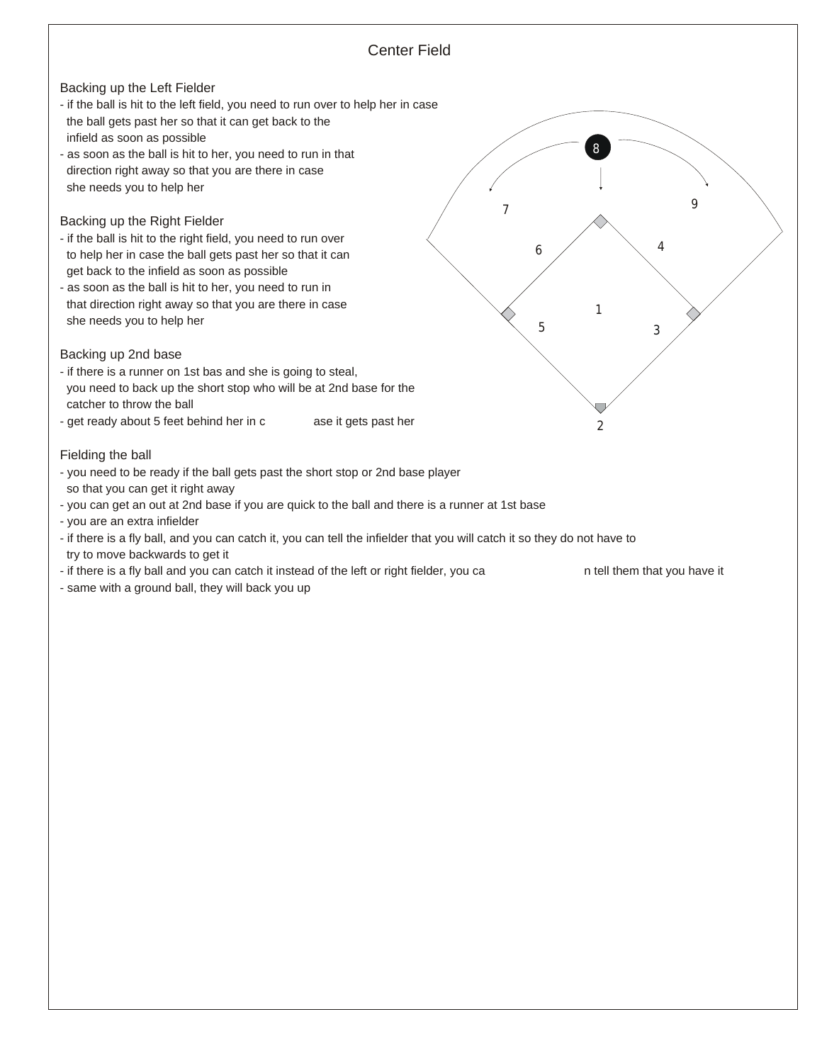

*- same with a ground ball, they will back you up*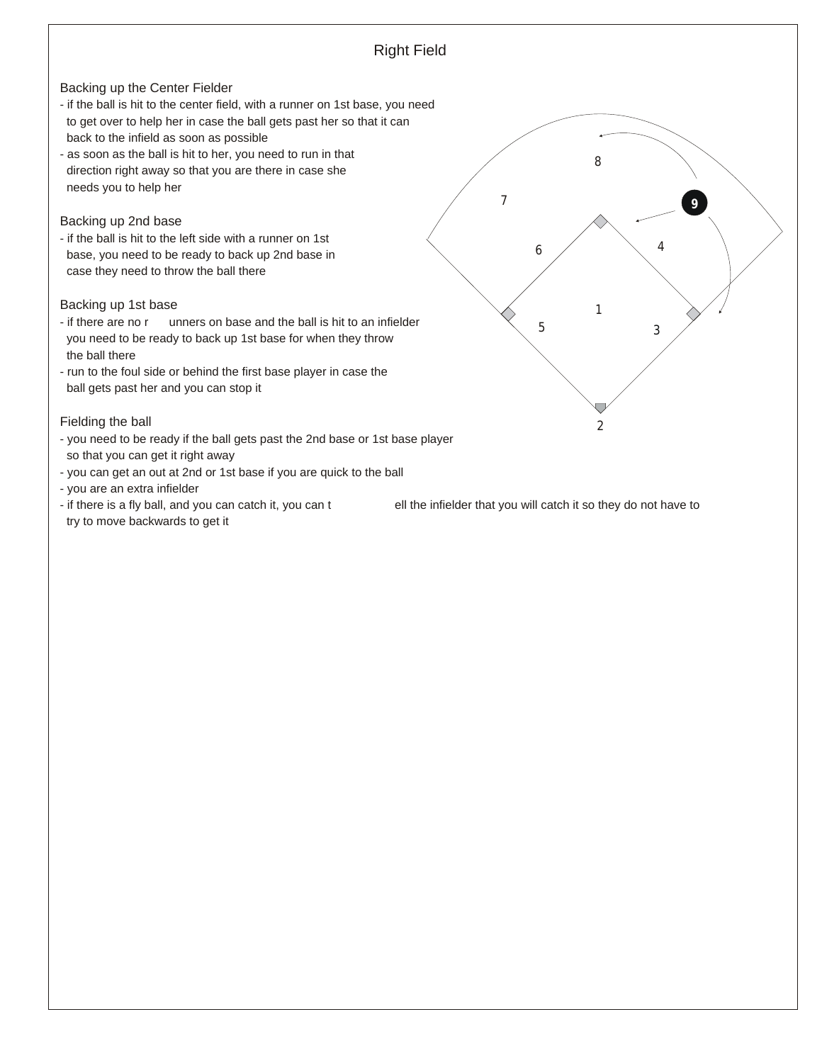

- 
- *you are an extra infielder*
- *try to move backwards to get it*

*- if there is a fly ball, and you can catch it, you can t ell the infielder that you will catch it so they do not have to*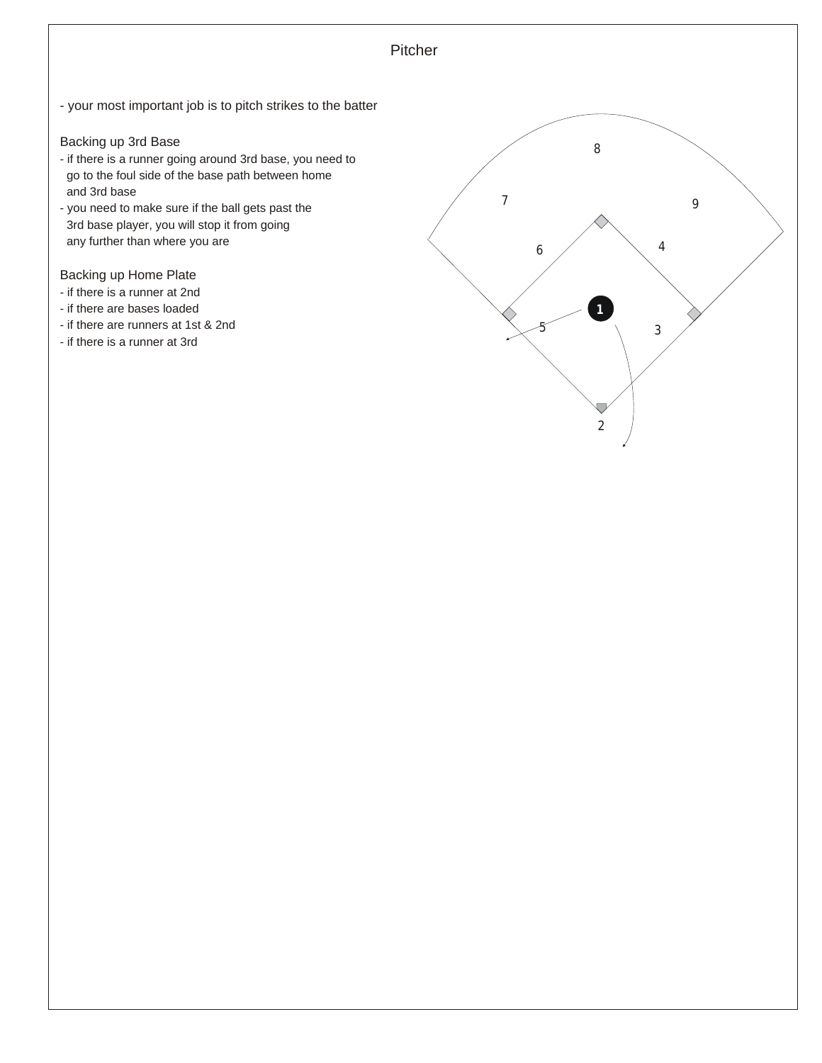